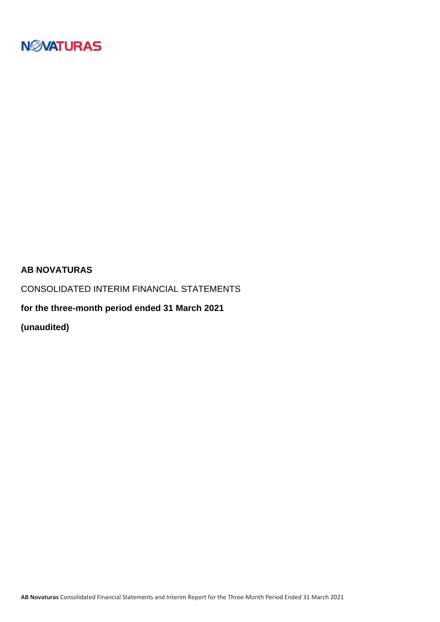

### **AB NOVATURAS**

CONSOLIDATED INTERIM FINANCIAL STATEMENTS

**for the three-month period ended 31 March 2021**

**(unaudited)**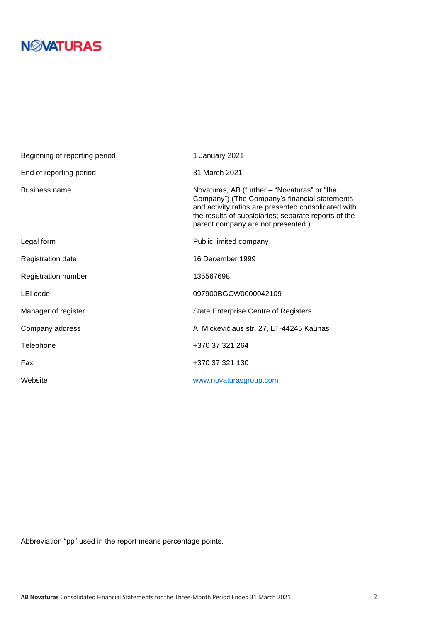| Beginning of reporting period | 1 January 2021                                                                                                                                                                                                                                     |
|-------------------------------|----------------------------------------------------------------------------------------------------------------------------------------------------------------------------------------------------------------------------------------------------|
| End of reporting period       | 31 March 2021                                                                                                                                                                                                                                      |
| <b>Business name</b>          | Novaturas, AB (further - "Novaturas" or "the<br>Company") (The Company's financial statements<br>and activity ratios are presented consolidated with<br>the results of subsidiaries; separate reports of the<br>parent company are not presented.) |
| Legal form                    | Public limited company                                                                                                                                                                                                                             |
| <b>Registration date</b>      | 16 December 1999                                                                                                                                                                                                                                   |
| Registration number           | 135567698                                                                                                                                                                                                                                          |
| LEI code                      | 097900BGCW0000042109                                                                                                                                                                                                                               |
| Manager of register           | <b>State Enterprise Centre of Registers</b>                                                                                                                                                                                                        |
| Company address               | A. Mickevičiaus str. 27, LT-44245 Kaunas                                                                                                                                                                                                           |
| Telephone                     | +370 37 321 264                                                                                                                                                                                                                                    |
| Fax                           | +370 37 321 130                                                                                                                                                                                                                                    |
| Website                       | www.novaturasgroup.com                                                                                                                                                                                                                             |

Abbreviation "pp" used in the report means percentage points.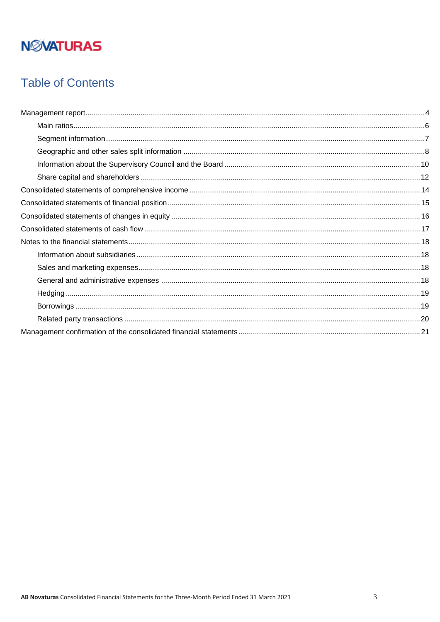# **Table of Contents**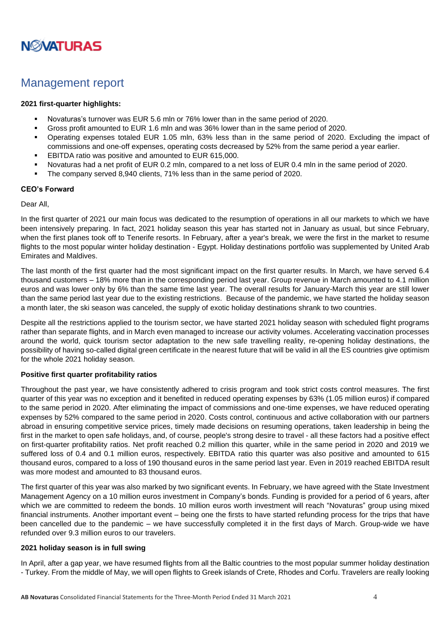

### <span id="page-3-0"></span>Management report

#### **2021 first-quarter highlights:**

- Novaturas's turnover was EUR 5.6 mln or 76% lower than in the same period of 2020.
- Gross profit amounted to EUR 1.6 mln and was 36% lower than in the same period of 2020.
- Operating expenses totaled EUR 1.05 mln, 63% less than in the same period of 2020. Excluding the impact of commissions and one-off expenses, operating costs decreased by 52% from the same period a year earlier.
- EBITDA ratio was positive and amounted to EUR 615,000.
- Novaturas had a net profit of EUR 0.2 mln, compared to a net loss of EUR 0.4 mln in the same period of 2020.
- The company served 8,940 clients, 71% less than in the same period of 2020.

#### **CEO's Forward**

#### Dear All,

In the first quarter of 2021 our main focus was dedicated to the resumption of operations in all our markets to which we have been intensively preparing. In fact, 2021 holiday season this year has started not in January as usual, but since February, when the first planes took off to Tenerife resorts. In February, after a year's break, we were the first in the market to resume flights to the most popular winter holiday destination - Egypt. Holiday destinations portfolio was supplemented by United Arab Emirates and Maldives.

The last month of the first quarter had the most significant impact on the first quarter results. In March, we have served 6.4 thousand customers – 18% more than in the corresponding period last year. Group revenue in March amounted to 4.1 million euros and was lower only by 6% than the same time last year. The overall results for January-March this year are still lower than the same period last year due to the existing restrictions. Because of the pandemic, we have started the holiday season a month later, the ski season was canceled, the supply of exotic holiday destinations shrank to two countries.

Despite all the restrictions applied to the tourism sector, we have started 2021 holiday season with scheduled flight programs rather than separate flights, and in March even managed to increase our activity volumes. Accelerating vaccination processes around the world, quick tourism sector adaptation to the new safe travelling reality, re-opening holiday destinations, the possibility of having so-called digital green certificate in the nearest future that will be valid in all the ES countries give optimism for the whole 2021 holiday season.

#### **Positive first quarter profitability ratios**

Throughout the past year, we have consistently adhered to crisis program and took strict costs control measures. The first quarter of this year was no exception and it benefited in reduced operating expenses by 63% (1.05 million euros) if compared to the same period in 2020. After eliminating the impact of commissions and one-time expenses, we have reduced operating expenses by 52% compared to the same period in 2020. Costs control, continuous and active collaboration with our partners abroad in ensuring competitive service prices, timely made decisions on resuming operations, taken leadership in being the first in the market to open safe holidays, and, of course, people's strong desire to travel - all these factors had a positive effect on first-quarter profitability ratios. Net profit reached 0.2 million this quarter, while in the same period in 2020 and 2019 we suffered loss of 0.4 and 0.1 million euros, respectively. EBITDA ratio this quarter was also positive and amounted to 615 thousand euros, compared to a loss of 190 thousand euros in the same period last year. Even in 2019 reached EBITDA result was more modest and amounted to 83 thousand euros.

The first quarter of this year was also marked by two significant events. In February, we have agreed with the State Investment Management Agency on a 10 million euros investment in Company's bonds. Funding is provided for a period of 6 years, after which we are committed to redeem the bonds. 10 million euros worth investment will reach "Novaturas" group using mixed financial instruments. Another important event – being one the firsts to have started refunding process for the trips that have been cancelled due to the pandemic – we have successfully completed it in the first days of March. Group-wide we have refunded over 9.3 million euros to our travelers.

#### **2021 holiday season is in full swing**

In April, after a gap year, we have resumed flights from all the Baltic countries to the most popular summer holiday destination - Turkey. From the middle of May, we will open flights to Greek islands of Crete, Rhodes and Corfu. Travelers are really looking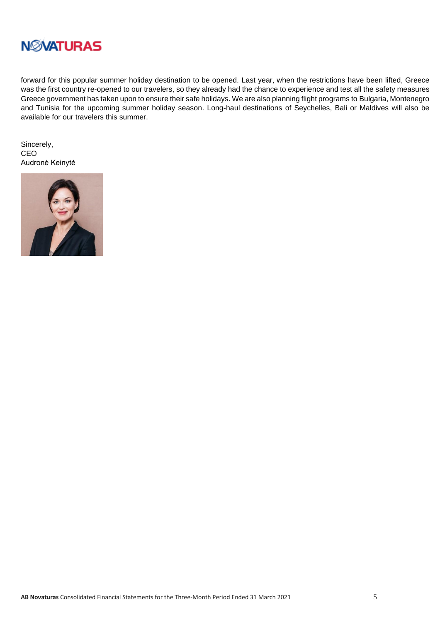

forward for this popular summer holiday destination to be opened. Last year, when the restrictions have been lifted, Greece was the first country re-opened to our travelers, so they already had the chance to experience and test all the safety measures Greece government has taken upon to ensure their safe holidays. We are also planning flight programs to Bulgaria, Montenegro and Tunisia for the upcoming summer holiday season. Long-haul destinations of Seychelles, Bali or Maldives will also be available for our travelers this summer.

Sincerely, CEO Audronė Keinytė

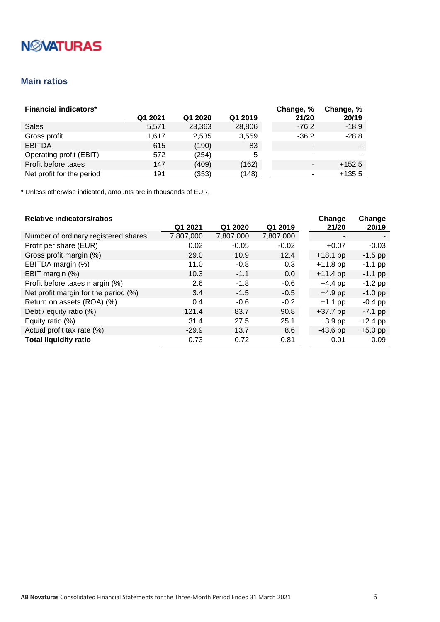# **N***NATURAS*

### <span id="page-5-0"></span>**Main ratios**

| <b>Financial indicators*</b> |         |         |         | Change, % | Change, % |
|------------------------------|---------|---------|---------|-----------|-----------|
|                              | Q1 2021 | Q1 2020 | Q1 2019 | 21/20     | 20/19     |
| Sales                        | 5,571   | 23,363  | 28,806  | $-76.2$   | $-18.9$   |
| Gross profit                 | 1.617   | 2,535   | 3,559   | $-36.2$   | $-28.8$   |
| <b>EBITDA</b>                | 615     | (190)   | 83      | -         |           |
| Operating profit (EBIT)      | 572     | (254)   | 5       |           |           |
| Profit before taxes          | 147     | (409)   | (162)   |           | $+152.5$  |
| Net profit for the period    | 191     | (353)   | (148)   |           | $+135.5$  |

\* Unless otherwise indicated, amounts are in thousands of EUR.

#### **Relative indicators/ratios**

| <b>Relative indicators/ratios</b>    |           |           |           | Change     | Change    |
|--------------------------------------|-----------|-----------|-----------|------------|-----------|
|                                      | Q1 2021   | Q1 2020   | Q1 2019   | 21/20      | 20/19     |
| Number of ordinary registered shares | 7,807,000 | 7,807,000 | 7,807,000 |            |           |
| Profit per share (EUR)               | 0.02      | $-0.05$   | $-0.02$   | $+0.07$    | $-0.03$   |
| Gross profit margin (%)              | 29.0      | 10.9      | 12.4      | $+18.1$ pp | $-1.5$ pp |
| EBITDA margin (%)                    | 11.0      | $-0.8$    | 0.3       | $+11.8$ pp | $-1.1$ pp |
| EBIT margin (%)                      | 10.3      | $-1.1$    | 0.0       | $+11.4$ pp | $-1.1$ pp |
| Profit before taxes margin (%)       | 2.6       | $-1.8$    | $-0.6$    | $+4.4$ pp  | $-1.2$ pp |
| Net profit margin for the period (%) | 3.4       | $-1.5$    | $-0.5$    | $+4.9$ pp  | $-1.0$ pp |
| Return on assets (ROA) (%)           | 0.4       | $-0.6$    | $-0.2$    | $+1.1$ pp  | $-0.4$ pp |
| Debt / equity ratio (%)              | 121.4     | 83.7      | 90.8      | $+37.7$ pp | $-7.1$ pp |
| Equity ratio (%)                     | 31.4      | 27.5      | 25.1      | $+3.9$ pp  | $+2.4$ pp |
| Actual profit tax rate (%)           | $-29.9$   | 13.7      | 8.6       | $-43.6$ pp | $+5.0$ pp |
| <b>Total liquidity ratio</b>         | 0.73      | 0.72      | 0.81      | 0.01       | $-0.09$   |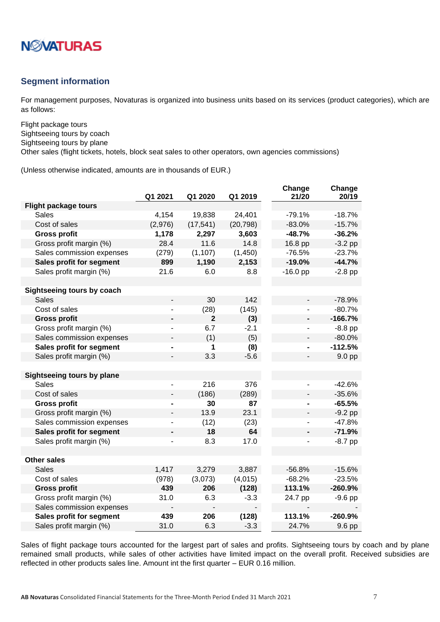

### <span id="page-6-0"></span>**Segment information**

For management purposes, Novaturas is organized into business units based on its services (product categories), which are as follows:

Flight package tours Sightseeing tours by coach Sightseeing tours by plane

Other sales (flight tickets, hotels, block seat sales to other operators, own agencies commissions)

(Unless otherwise indicated, amounts are in thousands of EUR.)

|                             | Q1 2021 | Q1 2020        | Q1 2019   | Change<br>21/20 | Change<br>20/19 |
|-----------------------------|---------|----------------|-----------|-----------------|-----------------|
| <b>Flight package tours</b> |         |                |           |                 |                 |
| <b>Sales</b>                | 4,154   | 19,838         | 24,401    | $-79.1%$        | $-18.7%$        |
| Cost of sales               | (2,976) | (17, 541)      | (20, 798) | $-83.0%$        | $-15.7%$        |
| <b>Gross profit</b>         | 1,178   | 2,297          | 3,603     | $-48.7%$        | $-36.2%$        |
| Gross profit margin (%)     | 28.4    | 11.6           | 14.8      | 16.8 pp         | $-3.2$ pp       |
| Sales commission expenses   | (279)   | (1, 107)       | (1, 450)  | $-76.5%$        | $-23.7%$        |
| Sales profit for segment    | 899     | 1,190          | 2,153     | $-19.0%$        | $-44.7%$        |
| Sales profit margin (%)     | 21.6    | 6.0            | 8.8       | $-16.0$ pp      | $-2.8$ pp       |
|                             |         |                |           |                 |                 |
| Sightseeing tours by coach  |         |                |           |                 |                 |
| <b>Sales</b>                |         | 30             | 142       |                 | $-78.9%$        |
| Cost of sales               |         | (28)           | (145)     |                 | $-80.7%$        |
| <b>Gross profit</b>         |         | $\overline{2}$ | (3)       |                 | $-166.7%$       |
| Gross profit margin (%)     |         | 6.7            | $-2.1$    |                 | $-8.8$ pp       |
| Sales commission expenses   |         | (1)            | (5)       |                 | $-80.0%$        |
| Sales profit for segment    |         | 1              | (8)       |                 | $-112.5%$       |
| Sales profit margin (%)     |         | 3.3            | $-5.6$    |                 | 9.0 pp          |
|                             |         |                |           |                 |                 |
| Sightseeing tours by plane  |         |                |           |                 |                 |
| <b>Sales</b>                |         | 216            | 376       |                 | $-42.6%$        |
| Cost of sales               |         | (186)          | (289)     |                 | $-35.6%$        |
| <b>Gross profit</b>         |         | 30             | 87        |                 | $-65.5%$        |
| Gross profit margin (%)     |         | 13.9           | 23.1      |                 | $-9.2$ pp       |
| Sales commission expenses   |         | (12)           | (23)      |                 | $-47.8%$        |
| Sales profit for segment    |         | 18             | 64        |                 | $-71.9%$        |
| Sales profit margin (%)     |         | 8.3            | 17.0      |                 | $-8.7$ pp       |
|                             |         |                |           |                 |                 |
| <b>Other sales</b>          |         |                |           |                 |                 |
| <b>Sales</b>                | 1,417   | 3,279          | 3,887     | $-56.8%$        | $-15.6%$        |
| Cost of sales               | (978)   | (3,073)        | (4,015)   | $-68.2%$        | $-23.5%$        |
| <b>Gross profit</b>         | 439     | 206            | (128)     | 113.1%          | $-260.9%$       |
| Gross profit margin (%)     | 31.0    | 6.3            | $-3.3$    | 24.7 pp         | $-9.6$ pp       |
| Sales commission expenses   |         |                |           |                 |                 |
| Sales profit for segment    | 439     | 206            | (128)     | 113.1%          | $-260.9%$       |
| Sales profit margin (%)     | 31.0    | 6.3            | $-3.3$    | 24.7%           | 9.6 pp          |

Sales of flight package tours accounted for the largest part of sales and profits. Sightseeing tours by coach and by plane remained small products, while sales of other activities have limited impact on the overall profit. Received subsidies are reflected in other products sales line. Amount int the first quarter – EUR 0.16 million.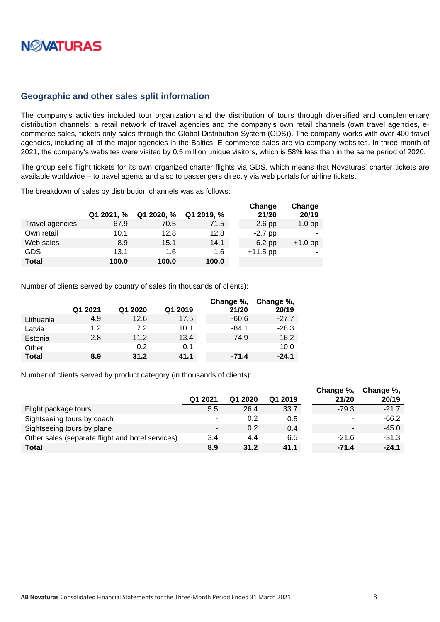# **NØVATURAS**

#### <span id="page-7-0"></span>**Geographic and other sales split information**

The company's activities included tour organization and the distribution of tours through diversified and complementary distribution channels: a retail network of travel agencies and the company's own retail channels (own travel agencies, ecommerce sales, tickets only sales through the Global Distribution System (GDS)). The company works with over 400 travel agencies, including all of the major agencies in the Baltics. E-commerce sales are via company websites. In three-month of 2021, the company's websites were visited by 0.5 million unique visitors, which is 58% less than in the same period of 2020.

The group sells flight tickets for its own organized charter flights via GDS, which means that Novaturas' charter tickets are available worldwide – to travel agents and also to passengers directly via web portals for airline tickets.

The breakdown of sales by distribution channels was as follows:

|                 |            |            |            | Change     | Change    |
|-----------------|------------|------------|------------|------------|-----------|
|                 | Q1 2021, % | Q1 2020, % | Q1 2019, % | 21/20      | 20/19     |
| Travel agencies | 67.9       | 70.5       | 71.5       | $-2.6$ pp  | $1.0$ pp  |
| Own retail      | 10.1       | 12.8       | 12.8       | $-2.7$ pp  |           |
| Web sales       | 8.9        | 15.1       | 14.1       | $-6.2$ pp  | $+1.0$ pp |
| GDS             | 13.1       | 1.6        | 1.6        | $+11.5$ pp |           |
| <b>Total</b>    | 100.0      | 100.0      | 100.0      |            |           |

Number of clients served by country of sales (in thousands of clients):

|              | Q1 2021 | Q1 2020 | Q1 2019 | Change %,<br>21/20 | Change %,<br>20/19 |
|--------------|---------|---------|---------|--------------------|--------------------|
| Lithuania    | 4.9     | 12.6    | 17.5    | $-60.6$            | $-27.7$            |
| Latvia       | 1.2     | 7.2     | 10.1    | $-84.1$            | $-28.3$            |
| Estonia      | 2.8     | 11.2    | 13.4    | $-74.9$            | $-16.2$            |
| Other        | ۰       | 0.2     | 0.1     | ۰                  | $-10.0$            |
| <b>Total</b> | 8.9     | 31.2    | 41.1    | $-71.4$            | $-24.1$            |

Number of clients served by product category (in thousands of clients):

|                                                  |         |         |         | Change %,                | Change %, |
|--------------------------------------------------|---------|---------|---------|--------------------------|-----------|
|                                                  | Q1 2021 | Q1 2020 | Q1 2019 | 21/20                    | 20/19     |
| Flight package tours                             | 5.5     | 26.4    | 33.7    | $-79.3$                  | $-21.7$   |
| Sightseeing tours by coach                       | -       | 0.2     | 0.5     | ۰                        | $-66.2$   |
| Sightseeing tours by plane                       | ۰       | 0.2     | 0.4     | $\overline{\phantom{0}}$ | $-45.0$   |
| Other sales (separate flight and hotel services) | 3.4     | 4.4     | 6.5     | $-21.6$                  | $-31.3$   |
| <b>Total</b>                                     | 8.9     | 31.2    | 41.1    | $-71.4$                  | $-24.1$   |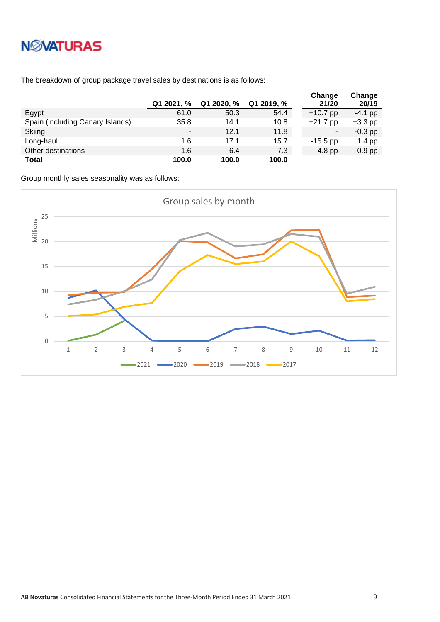# **NWATURAS**

The breakdown of group package travel sales by destinations is as follows:

|                                  | Q1 2021, % | Q1 2020, % | Q1 2019, % | Change<br>21/20 | Change<br>20/19 |
|----------------------------------|------------|------------|------------|-----------------|-----------------|
| Egypt                            | 61.0       | 50.3       | 54.4       | $+10.7$ pp      | $-4.1$ pp       |
| Spain (including Canary Islands) | 35.8       | 14.1       | 10.8       | $+21.7$ pp      | $+3.3$ pp       |
| Skiing                           |            | 12.1       | 11.8       | ۰               | $-0.3$ pp       |
| Long-haul                        | 1.6        | 17.1       | 15.7       | $-15.5$ pp      | $+1.4$ pp       |
| Other destinations               | 1.6        | 6.4        | 7.3        | $-4.8$ pp       | $-0.9$ pp       |
| <b>Total</b>                     | 100.0      | 100.0      | 100.0      |                 |                 |

Group monthly sales seasonality was as follows:

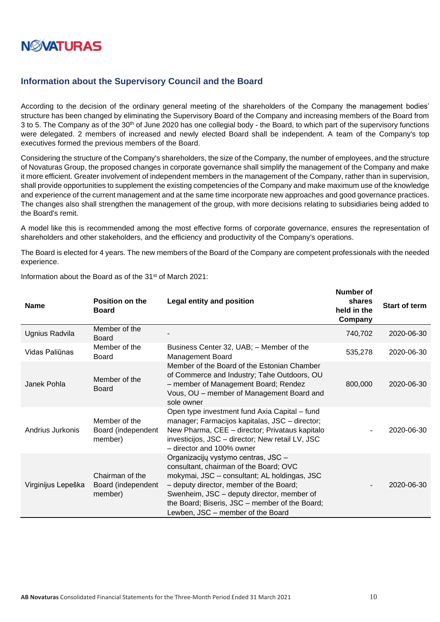

#### <span id="page-9-0"></span>**Information about the Supervisory Council and the Board**

According to the decision of the ordinary general meeting of the shareholders of the Company the management bodies' structure has been changed by eliminating the Supervisory Board of the Company and increasing members of the Board from 3 to 5. The Company as of the 30<sup>th</sup> of June 2020 has one collegial body - the Board, to which part of the supervisory functions were delegated. 2 members of increased and newly elected Board shall be independent. A team of the Company's top executives formed the previous members of the Board.

Considering the structure of the Company's shareholders, the size of the Company, the number of employees, and the structure of Novaturas Group, the proposed changes in corporate governance shall simplify the management of the Company and make it more efficient. Greater involvement of independent members in the management of the Company, rather than in supervision, shall provide opportunities to supplement the existing competencies of the Company and make maximum use of the knowledge and experience of the current management and at the same time incorporate new approaches and good governance practices. The changes also shall strengthen the management of the group, with more decisions relating to subsidiaries being added to the Board's remit.

A model like this is recommended among the most effective forms of corporate governance, ensures the representation of shareholders and other stakeholders, and the efficiency and productivity of the Company's operations.

The Board is elected for 4 years. The new members of the Board of the Company are competent professionals with the needed experience.

| <b>Name</b>        | <b>Position on the</b><br><b>Board</b>           | Legal entity and position                                                                                                                                                                                                                                                                                     | shares<br>held in the<br>Company | Start of term |
|--------------------|--------------------------------------------------|---------------------------------------------------------------------------------------------------------------------------------------------------------------------------------------------------------------------------------------------------------------------------------------------------------------|----------------------------------|---------------|
| Ugnius Radvila     | Member of the<br>Board                           |                                                                                                                                                                                                                                                                                                               | 740,702                          | 2020-06-30    |
| Vidas Paliūnas     | Member of the<br><b>Board</b>                    | Business Center 32, UAB; - Member of the<br><b>Management Board</b>                                                                                                                                                                                                                                           | 535,278                          | 2020-06-30    |
| Janek Pohla        | Member of the<br><b>Board</b>                    | Member of the Board of the Estonian Chamber<br>of Commerce and Industry; Tahe Outdoors, OU<br>- member of Management Board; Rendez<br>Vous, OU - member of Management Board and<br>sole owner                                                                                                                 | 800,000                          | 2020-06-30    |
| Andrius Jurkonis   | Member of the<br>Board (independent<br>member)   | Open type investment fund Axia Capital – fund<br>manager; Farmacijos kapitalas, JSC - director;<br>New Pharma, CEE - director; Privataus kapitalo<br>investicijos, JSC - director; New retail LV, JSC<br>- director and 100% owner                                                                            |                                  | 2020-06-30    |
| Virginijus Lepeška | Chairman of the<br>Board (independent<br>member) | Organizacijų vystymo centras, JSC -<br>consultant, chairman of the Board; OVC<br>mokymai, JSC - consultant; AL holdingas, JSC<br>- deputy director, member of the Board;<br>Swenheim, JSC – deputy director, member of<br>the Board; Biseris, JSC - member of the Board;<br>Lewben, JSC - member of the Board |                                  | 2020-06-30    |

Information about the Board as of the 31st of March 2021:

**Number of**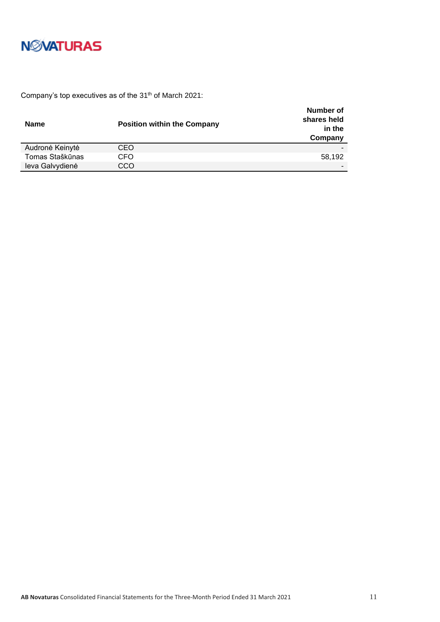

Company's top executives as of the 31<sup>th</sup> of March 2021:

| <b>Name</b>     | <b>Position within the Company</b> | Number of<br>shares held<br>in the<br>Company |
|-----------------|------------------------------------|-----------------------------------------------|
| Audronė Keinytė | CEO                                |                                               |
| Tomas Staškūnas | CFO                                | 58,192                                        |
| leva Galvydienė | CCO                                |                                               |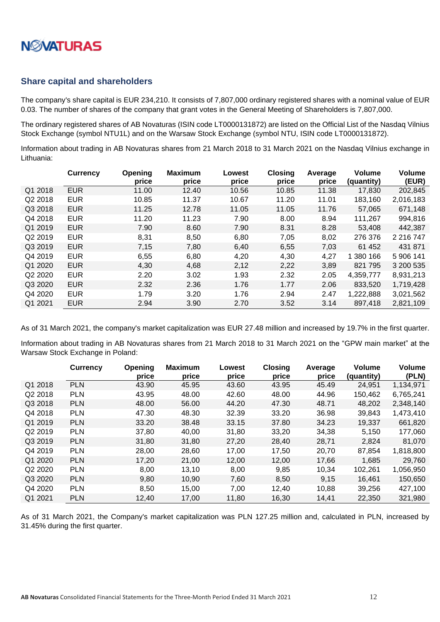

#### <span id="page-11-0"></span>**Share capital and shareholders**

The company's share capital is EUR 234,210. It consists of 7,807,000 ordinary registered shares with a nominal value of EUR 0.03. The number of shares of the company that grant votes in the General Meeting of Shareholders is 7,807,000.

The ordinary registered shares of AB Novaturas (ISIN code LT0000131872) are listed on the Official List of the Nasdaq Vilnius Stock Exchange (symbol NTU1L) and on the Warsaw Stock Exchange (symbol NTU, ISIN code LT0000131872).

Information about trading in AB Novaturas shares from 21 March 2018 to 31 March 2021 on the Nasdaq Vilnius exchange in Lithuania:

|         | <b>Currency</b> | Opening<br>price | <b>Maximum</b><br>price | Lowest<br>price | <b>Closing</b><br>price | Average<br>price | <b>Volume</b><br>(quantity) | <b>Volume</b><br>(EUR) |
|---------|-----------------|------------------|-------------------------|-----------------|-------------------------|------------------|-----------------------------|------------------------|
| Q1 2018 | <b>EUR</b>      | 11.00            | 12.40                   | 10.56           | 10.85                   | 11.38            | 17,830                      | 202,845                |
| Q2 2018 | <b>EUR</b>      | 10.85            | 11.37                   | 10.67           | 11.20                   | 11.01            | 183,160                     | 2,016,183              |
| Q3 2018 | <b>EUR</b>      | 11.25            | 12.78                   | 11.05           | 11.05                   | 11.76            | 57,065                      | 671,148                |
| Q4 2018 | <b>EUR</b>      | 11.20            | 11.23                   | 7.90            | 8.00                    | 8.94             | 111,267                     | 994,816                |
| Q1 2019 | <b>EUR</b>      | 7.90             | 8.60                    | 7.90            | 8.31                    | 8.28             | 53,408                      | 442,387                |
| Q2 2019 | <b>EUR</b>      | 8,31             | 8,50                    | 6,80            | 7,05                    | 8,02             | 276 376                     | 2 2 1 6 7 4 7          |
| Q3 2019 | <b>EUR</b>      | 7.15             | 7,80                    | 6.40            | 6,55                    | 7,03             | 61 452                      | 431 871                |
| Q4 2019 | <b>EUR</b>      | 6,55             | 6,80                    | 4,20            | 4,30                    | 4,27             | 1 380 166                   | 5 906 141              |
| Q1 2020 | <b>EUR</b>      | 4.30             | 4,68                    | 2,12            | 2,22                    | 3,89             | 821 795                     | 3 200 535              |
| Q2 2020 | <b>EUR</b>      | 2.20             | 3.02                    | 1.93            | 2.32                    | 2.05             | 4,359,777                   | 8,931,213              |
| Q3 2020 | <b>EUR</b>      | 2.32             | 2.36                    | 1.76            | 1.77                    | 2.06             | 833,520                     | 1,719,428              |
| Q4 2020 | <b>EUR</b>      | 1.79             | 3.20                    | 1.76            | 2.94                    | 2.47             | 1,222,888                   | 3,021,562              |
| Q1 2021 | <b>EUR</b>      | 2.94             | 3.90                    | 2.70            | 3.52                    | 3.14             | 897,418                     | 2,821,109              |

As of 31 March 2021, the company's market capitalization was EUR 27.48 million and increased by 19.7% in the first quarter.

Information about trading in AB Novaturas shares from 21 March 2018 to 31 March 2021 on the "GPW main market" at the Warsaw Stock Exchange in Poland:

|         | <b>Currency</b> | Opening<br>price | <b>Maximum</b><br>price | Lowest<br>price | <b>Closing</b><br>price | Average<br>price | Volume<br>(quantity) | Volume<br>(PLN) |
|---------|-----------------|------------------|-------------------------|-----------------|-------------------------|------------------|----------------------|-----------------|
| Q1 2018 | <b>PLN</b>      | 43.90            | 45.95                   | 43.60           | 43.95                   | 45.49            | 24,951               | 1,134,971       |
| Q2 2018 | <b>PLN</b>      | 43.95            | 48.00                   | 42.60           | 48.00                   | 44.96            | 150,462              | 6,765,241       |
| Q3 2018 | <b>PLN</b>      | 48.00            | 56.00                   | 44.20           | 47.30                   | 48.71            | 48,202               | 2,348,140       |
| Q4 2018 | <b>PLN</b>      | 47.30            | 48.30                   | 32.39           | 33.20                   | 36.98            | 39,843               | 1,473,410       |
| Q1 2019 | <b>PLN</b>      | 33.20            | 38.48                   | 33.15           | 37.80                   | 34.23            | 19,337               | 661,820         |
| Q2 2019 | <b>PLN</b>      | 37,80            | 40,00                   | 31,80           | 33,20                   | 34,38            | 5,150                | 177,060         |
| Q3 2019 | <b>PLN</b>      | 31,80            | 31,80                   | 27,20           | 28,40                   | 28,71            | 2,824                | 81,070          |
| Q4 2019 | <b>PLN</b>      | 28,00            | 28,60                   | 17,00           | 17,50                   | 20,70            | 87,854               | 1,818,800       |
| Q1 2020 | <b>PLN</b>      | 17,20            | 21,00                   | 12,00           | 12,00                   | 17,66            | 1,685                | 29,760          |
| Q2 2020 | <b>PLN</b>      | 8,00             | 13,10                   | 8,00            | 9,85                    | 10,34            | 102,261              | 1,056,950       |
| Q3 2020 | <b>PLN</b>      | 9,80             | 10,90                   | 7,60            | 8,50                    | 9,15             | 16,461               | 150,650         |
| Q4 2020 | <b>PLN</b>      | 8,50             | 15,00                   | 7,00            | 12,40                   | 10,88            | 39,256               | 427,100         |
| Q1 2021 | <b>PLN</b>      | 12,40            | 17,00                   | 11,80           | 16,30                   | 14,41            | 22,350               | 321,980         |

As of 31 March 2021, the Company's market capitalization was PLN 127.25 million and, calculated in PLN, increased by 31.45% during the first quarter.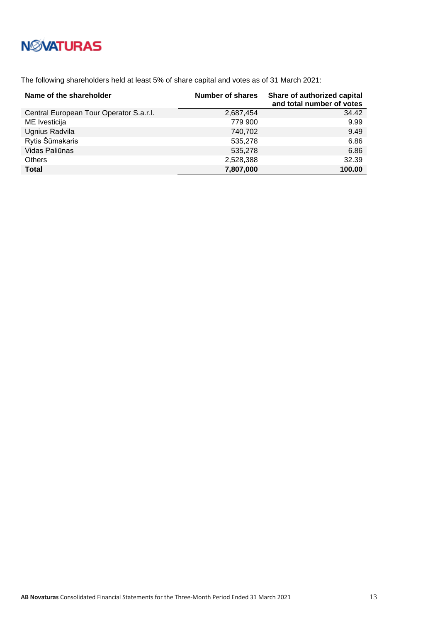The following shareholders held at least 5% of share capital and votes as of 31 March 2021:

| Name of the shareholder                 | <b>Number of shares</b> | Share of authorized capital<br>and total number of votes |
|-----------------------------------------|-------------------------|----------------------------------------------------------|
| Central European Tour Operator S.a.r.l. | 2,687,454               | 34.42                                                    |
| ME Ivesticija                           | 779 900                 | 9.99                                                     |
| Ugnius Radvila                          | 740,702                 | 9.49                                                     |
| Rytis Šūmakaris                         | 535,278                 | 6.86                                                     |
| Vidas Paliūnas                          | 535,278                 | 6.86                                                     |
| <b>Others</b>                           | 2,528,388               | 32.39                                                    |
| <b>Total</b>                            | 7,807,000               | 100.00                                                   |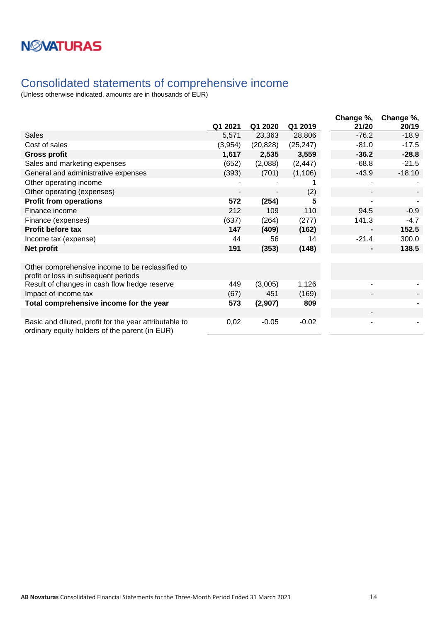### <span id="page-13-0"></span>Consolidated statements of comprehensive income

|                                                                                                          | Q1 2021 | Q1 2020   | Q1 2019   | Change %,<br>21/20 | Change %,<br>20/19 |
|----------------------------------------------------------------------------------------------------------|---------|-----------|-----------|--------------------|--------------------|
| <b>Sales</b>                                                                                             | 5,571   | 23,363    | 28,806    | $-76.2$            | $-18.9$            |
| Cost of sales                                                                                            | (3,954) | (20, 828) | (25, 247) | $-81.0$            | $-17.5$            |
| <b>Gross profit</b>                                                                                      | 1,617   | 2,535     | 3,559     | $-36.2$            | $-28.8$            |
| Sales and marketing expenses                                                                             | (652)   | (2,088)   | (2, 447)  | $-68.8$            | $-21.5$            |
| General and administrative expenses                                                                      | (393)   | (701)     | (1, 106)  | $-43.9$            | $-18.10$           |
| Other operating income                                                                                   |         |           |           |                    |                    |
| Other operating (expenses)                                                                               |         |           | (2)       |                    |                    |
| <b>Profit from operations</b>                                                                            | 572     | (254)     |           |                    |                    |
| Finance income                                                                                           | 212     | 109       | 110       | 94.5               | $-0.9$             |
| Finance (expenses)                                                                                       | (637)   | (264)     | (277)     | 141.3              | $-4.7$             |
| Profit before tax                                                                                        | 147     | (409)     | (162)     |                    | 152.5              |
| Income tax (expense)                                                                                     | 44      | 56        | 14        | $-21.4$            | 300.0              |
| Net profit                                                                                               | 191     | (353)     | (148)     |                    | 138.5              |
|                                                                                                          |         |           |           |                    |                    |
| Other comprehensive income to be reclassified to<br>profit or loss in subsequent periods                 |         |           |           |                    |                    |
| Result of changes in cash flow hedge reserve                                                             | 449     | (3,005)   | 1,126     |                    |                    |
| Impact of income tax                                                                                     | (67)    | 451       | (169)     |                    |                    |
| Total comprehensive income for the year                                                                  | 573     | (2,907)   | 809       |                    |                    |
|                                                                                                          |         |           |           |                    |                    |
| Basic and diluted, profit for the year attributable to<br>ordinary equity holders of the parent (in EUR) | 0,02    | $-0.05$   | $-0.02$   |                    |                    |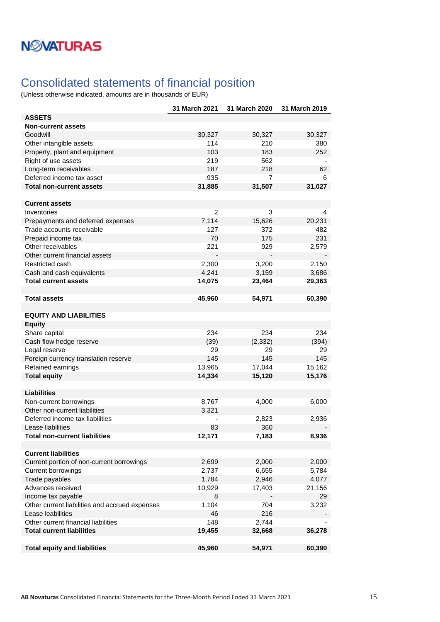## <span id="page-14-0"></span>Consolidated statements of financial position

|                                                | 31 March 2021  | 31 March 2020 | 31 March 2019 |
|------------------------------------------------|----------------|---------------|---------------|
| <b>ASSETS</b>                                  |                |               |               |
| <b>Non-current assets</b>                      |                |               |               |
| Goodwill                                       | 30,327         | 30,327        | 30,327        |
| Other intangible assets                        | 114            | 210           | 380           |
| Property, plant and equipment                  | 103            | 183           | 252           |
| Right of use assets                            | 219            | 562           |               |
| Long-term receivables                          | 187            | 218           | 62            |
| Deferred income tax asset                      | 935            | 7             | 6             |
| <b>Total non-current assets</b>                | 31,885         | 31,507        | 31,027        |
|                                                |                |               |               |
| <b>Current assets</b>                          |                |               |               |
| Inventories                                    | $\overline{2}$ | 3             | 4             |
| Prepayments and deferred expenses              | 7,114          | 15,626        | 20,231        |
| Trade accounts receivable                      | 127            | 372           | 482           |
| Prepaid income tax                             | 70             | 175           | 231           |
| Other receivables                              | 221            | 929           | 2,579         |
| Other current financial assets                 |                |               |               |
| Restricted cash                                | 2,300          | 3,200         | 2,150         |
| Cash and cash equivalents                      | 4,241          | 3,159         | 3,686         |
| <b>Total current assets</b>                    | 14,075         | 23,464        | 29,363        |
|                                                |                |               |               |
| <b>Total assets</b>                            | 45,960         | 54,971        | 60,390        |
|                                                |                |               |               |
| <b>EQUITY AND LIABILITIES</b>                  |                |               |               |
| <b>Equity</b>                                  |                |               |               |
| Share capital                                  | 234            | 234           | 234           |
| Cash flow hedge reserve                        | (39)           | (2, 332)      | (394)         |
| Legal reserve                                  | 29             | 29            | 29            |
| Foreign currency translation reserve           | 145            | 145           | 145           |
| Retained earnings                              | 13,965         | 17,044        | 15,162        |
| <b>Total equity</b>                            | 14,334         | 15,120        | 15,176        |
|                                                |                |               |               |
| <b>Liabilities</b>                             |                |               |               |
| Non-current borrowings                         | 8,767          | 4,000         | 6,000         |
| Other non-current liabilities                  | 3,321          |               |               |
| Deferred income tax liabilities                |                | 2,823         | 2,936         |
| Lease liabilities                              | 83             | 360           |               |
| <b>Total non-current liabilities</b>           | 12,171         | 7,183         | 8,936         |
|                                                |                |               |               |
| <b>Current liabilities</b>                     |                |               |               |
| Current portion of non-current borrowings      | 2,699          | 2,000         | 2,000         |
| <b>Current borrowings</b>                      | 2,737          | 6,655         | 5,784         |
| Trade payables                                 | 1,784          | 2,946         | 4,077         |
| Advances received                              | 10,929         | 17,403        | 21,156        |
| Income tax payable                             | 8              |               | 29            |
| Other current liabilities and accrued expenses | 1,104          | 704           | 3,232         |
| Lease leabilities                              | 46             | 216           |               |
| Other current financial liabilities            | 148            | 2,744         |               |
| <b>Total current liabilities</b>               | 19,455         | 32,668        | 36,278        |
|                                                |                |               |               |
| <b>Total equity and liabilities</b>            | 45,960         | 54,971        | 60,390        |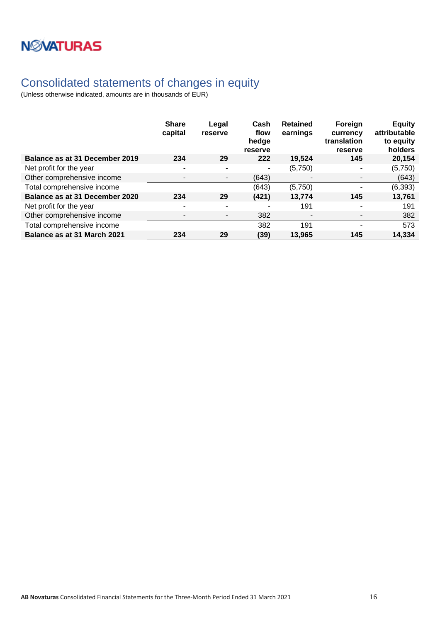

## <span id="page-15-0"></span>Consolidated statements of changes in equity

|                                | <b>Share</b><br>capital  | Legal<br>reserve         | Cash<br>flow<br>hedge<br>reserve | <b>Retained</b><br>earnings | Foreign<br>currency<br>translation<br>reserve | <b>Equity</b><br>attributable<br>to equity<br>holders |
|--------------------------------|--------------------------|--------------------------|----------------------------------|-----------------------------|-----------------------------------------------|-------------------------------------------------------|
| Balance as at 31 December 2019 | 234                      | 29                       | 222                              | 19,524                      | 145                                           | 20,154                                                |
| Net profit for the year        | $\overline{\phantom{a}}$ |                          | $\blacksquare$                   | (5,750)                     | ۰                                             | (5,750)                                               |
| Other comprehensive income     | $\overline{\phantom{0}}$ | $\overline{\phantom{a}}$ | (643)                            |                             | $\overline{\phantom{a}}$                      | (643)                                                 |
| Total comprehensive income     |                          |                          | (643)                            | (5,750)                     | $\overline{\phantom{0}}$                      | (6, 393)                                              |
| Balance as at 31 December 2020 | 234                      | 29                       | (421)                            | 13,774                      | 145                                           | 13,761                                                |
| Net profit for the year        |                          |                          |                                  | 191                         |                                               | 191                                                   |
| Other comprehensive income     |                          |                          | 382                              |                             |                                               | 382                                                   |
| Total comprehensive income     |                          |                          | 382                              | 191                         |                                               | 573                                                   |
| Balance as at 31 March 2021    | 234                      | 29                       | (39)                             | 13,965                      | 145                                           | 14,334                                                |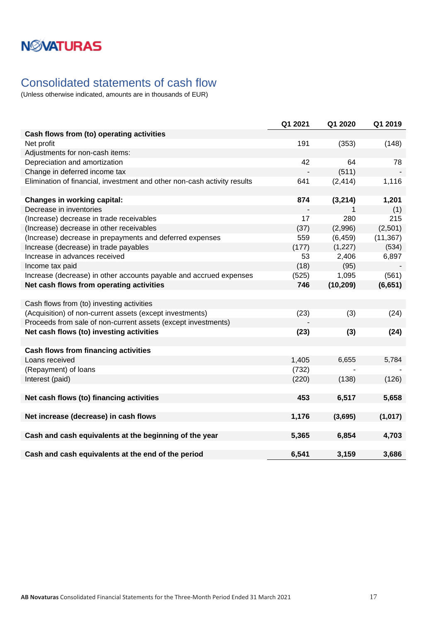## <span id="page-16-0"></span>Consolidated statements of cash flow

|                                                                          | Q1 2021 | Q1 2020   | Q1 2019   |
|--------------------------------------------------------------------------|---------|-----------|-----------|
| Cash flows from (to) operating activities                                |         |           |           |
| Net profit                                                               | 191     | (353)     | (148)     |
| Adjustments for non-cash items:                                          |         |           |           |
| Depreciation and amortization                                            | 42      | 64        | 78        |
| Change in deferred income tax                                            |         | (511)     |           |
| Elimination of financial, investment and other non-cash activity results | 641     | (2, 414)  | 1,116     |
|                                                                          |         |           |           |
| <b>Changes in working capital:</b>                                       | 874     | (3, 214)  | 1,201     |
| Decrease in inventories                                                  |         | 1         | (1)       |
| (Increase) decrease in trade receivables                                 | 17      | 280       | 215       |
| (Increase) decrease in other receivables                                 | (37)    | (2,996)   | (2,501)   |
| (Increase) decrease in prepayments and deferred expenses                 | 559     | (6, 459)  | (11, 367) |
| Increase (decrease) in trade payables                                    | (177)   | (1,227)   | (534)     |
| Increase in advances received                                            | 53      | 2,406     | 6,897     |
| Income tax paid                                                          | (18)    | (95)      |           |
| Increase (decrease) in other accounts payable and accrued expenses       | (525)   | 1,095     | (561)     |
| Net cash flows from operating activities                                 | 746     | (10, 209) | (6, 651)  |
|                                                                          |         |           |           |
| Cash flows from (to) investing activities                                |         |           |           |
| (Acquisition) of non-current assets (except investments)                 | (23)    | (3)       | (24)      |
| Proceeds from sale of non-current assets (except investments)            |         |           |           |
| Net cash flows (to) investing activities                                 | (23)    | (3)       | (24)      |
|                                                                          |         |           |           |
| <b>Cash flows from financing activities</b>                              |         |           |           |
| Loans received                                                           | 1,405   | 6,655     | 5,784     |
| (Repayment) of loans                                                     | (732)   |           |           |
| Interest (paid)                                                          | (220)   | (138)     | (126)     |
|                                                                          |         |           |           |
| Net cash flows (to) financing activities                                 | 453     | 6,517     | 5,658     |
|                                                                          |         |           |           |
| Net increase (decrease) in cash flows                                    | 1,176   | (3,695)   | (1,017)   |
|                                                                          |         |           |           |
| Cash and cash equivalents at the beginning of the year                   | 5,365   | 6,854     | 4,703     |
|                                                                          |         |           |           |
| Cash and cash equivalents at the end of the period                       | 6,541   | 3,159     | 3,686     |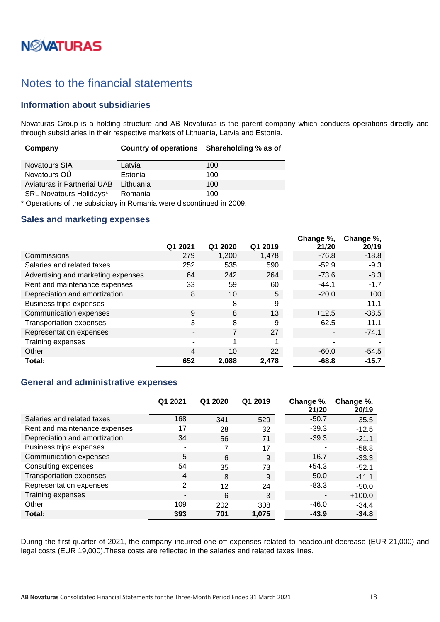# **N***N***XATURAS**

## <span id="page-17-0"></span>Notes to the financial statements

### <span id="page-17-1"></span>**Information about subsidiaries**

Novaturas Group is a holding structure and AB Novaturas is the parent company which conducts operations directly and through subsidiaries in their respective markets of Lithuania, Latvia and Estonia.

| Company                        | Country of operations Shareholding % as of |     |
|--------------------------------|--------------------------------------------|-----|
| <b>Novatours SIA</b>           | Latvia                                     | 100 |
| Novatours OÜ                   | Estonia                                    | 100 |
| Aviaturas ir Partneriai UAB    | Lithuania                                  | 100 |
| <b>SRL Novatours Holidays*</b> | Romania                                    | 100 |

\* Operations of the subsidiary in Romania were discontinued in 2009.

#### <span id="page-17-2"></span>**Sales and marketing expenses**

|                                    | Q1 2021 | Q1 2020 | Q1 2019 | Change %,<br>21/20 | Change %,<br>20/19 |
|------------------------------------|---------|---------|---------|--------------------|--------------------|
| Commissions                        | 279     | 1,200   | 1,478   | $-76.8$            | $-18.8$            |
| Salaries and related taxes         | 252     | 535     | 590     | $-52.9$            | $-9.3$             |
| Advertising and marketing expenses | 64      | 242     | 264     | $-73.6$            | $-8.3$             |
| Rent and maintenance expenses      | 33      | 59      | 60      | $-44.1$            | $-1.7$             |
| Depreciation and amortization      | 8       | 10      | 5       | $-20.0$            | $+100$             |
| Business trips expenses            | ۰       | 8       | 9       |                    | $-11.1$            |
| Communication expenses             | 9       | 8       | 13      | $+12.5$            | $-38.5$            |
| <b>Transportation expenses</b>     | 3       | 8       | 9       | $-62.5$            | $-11.1$            |
| Representation expenses            | ٠       | 7       | 27      |                    | $-74.1$            |
| Training expenses                  | ۰       | 1       |         | $\blacksquare$     |                    |
| Other                              | 4       | 10      | 22      | $-60.0$            | $-54.5$            |
| Total:                             | 652     | 2,088   | 2,478   | $-68.8$            | $-15.7$            |

#### <span id="page-17-3"></span>**General and administrative expenses**

|                                | Q1 2021        | Q1 2020 | Q1 2019 | Change %,<br>21/20 | Change %,<br>20/19 |
|--------------------------------|----------------|---------|---------|--------------------|--------------------|
| Salaries and related taxes     | 168            | 341     | 529     | $-50.7$            | $-35.5$            |
| Rent and maintenance expenses  | 17             | 28      | 32      | $-39.3$            | $-12.5$            |
| Depreciation and amortization  | 34             | 56      | 71      | $-39.3$            | $-21.1$            |
| Business trips expenses        | ۰              | 7       | 17      |                    | $-58.8$            |
| Communication expenses         | 5              | 6       | 9       | $-16.7$            | $-33.3$            |
| Consulting expenses            | 54             | 35      | 73      | $+54.3$            | $-52.1$            |
| <b>Transportation expenses</b> | $\overline{4}$ | 8       | 9       | $-50.0$            | $-11.1$            |
| Representation expenses        | 2              | 12      | 24      | $-83.3$            | $-50.0$            |
| Training expenses              | $\blacksquare$ | 6       | 3       |                    | $+100.0$           |
| Other                          | 109            | 202     | 308     | $-46.0$            | $-34.4$            |
| Total:                         | 393            | 701     | 1,075   | $-43.9$            | $-34.8$            |

During the first quarter of 2021, the company incurred one-off expenses related to headcount decrease (EUR 21,000) and legal costs (EUR 19,000).These costs are reflected in the salaries and related taxes lines.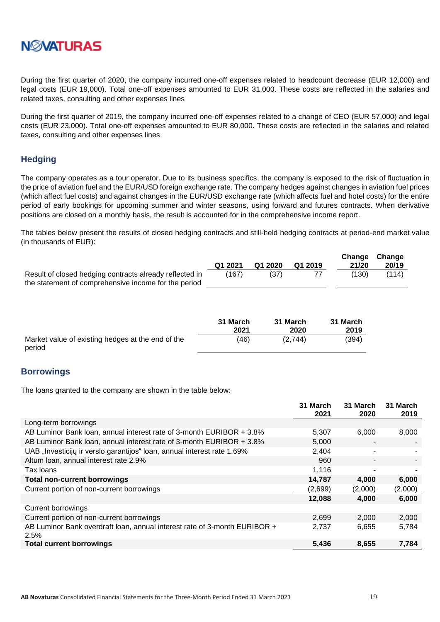

During the first quarter of 2020, the company incurred one-off expenses related to headcount decrease (EUR 12,000) and legal costs (EUR 19,000). Total one-off expenses amounted to EUR 31,000. These costs are reflected in the salaries and related taxes, consulting and other expenses lines

During the first quarter of 2019, the company incurred one-off expenses related to a change of CEO (EUR 57,000) and legal costs (EUR 23,000). Total one-off expenses amounted to EUR 80,000. These costs are reflected in the salaries and related taxes, consulting and other expenses lines

### <span id="page-18-0"></span>**Hedging**

The company operates as a tour operator. Due to its business specifics, the company is exposed to the risk of fluctuation in the price of aviation fuel and the EUR/USD foreign exchange rate. The company hedges against changes in aviation fuel prices (which affect fuel costs) and against changes in the EUR/USD exchange rate (which affects fuel and hotel costs) for the entire period of early bookings for upcoming summer and winter seasons, using forward and futures contracts. When derivative positions are closed on a monthly basis, the result is accounted for in the comprehensive income report.

The tables below present the results of closed hedging contracts and still-held hedging contracts at period-end market value (in thousands of EUR):

|                                                         | Q1 2021 | Q1 2020 | Q1 2019 | 21/20 | Change Change<br>20/19 |
|---------------------------------------------------------|---------|---------|---------|-------|------------------------|
| Result of closed hedging contracts already reflected in | (167)   | (37)    |         | (130) | (114)                  |
| the statement of comprehensive income for the period    |         |         |         |       |                        |

|                                                             | 31 March | 31 March | 31 March |
|-------------------------------------------------------------|----------|----------|----------|
|                                                             | 2021     | 2020     | 2019     |
| Market value of existing hedges at the end of the<br>period | (46)     | (2,744)  | (394)    |

#### <span id="page-18-1"></span>**Borrowings**

The loans granted to the company are shown in the table below:

|                                                                                   | 31 March<br>2021 | 31 March<br>2020 | 31 March<br>2019 |
|-----------------------------------------------------------------------------------|------------------|------------------|------------------|
| Long-term borrowings                                                              |                  |                  |                  |
| AB Luminor Bank loan, annual interest rate of 3-month EURIBOR + 3.8%              | 5.307            | 6,000            | 8,000            |
| AB Luminor Bank loan, annual interest rate of 3-month EURIBOR + 3.8%              | 5,000            |                  |                  |
| UAB "Investicijų ir verslo garantijos" Ioan, annual interest rate 1.69%           | 2,404            |                  |                  |
| Altum Ioan, annual interest rate 2.9%                                             | 960              |                  |                  |
| Tax Ioans                                                                         | 1,116            |                  |                  |
| <b>Total non-current borrowings</b>                                               | 14,787           | 4,000            | 6,000            |
| Current portion of non-current borrowings                                         | (2,699)          | (2,000)          | (2,000)          |
|                                                                                   | 12,088           | 4,000            | 6,000            |
| Current borrowings                                                                |                  |                  |                  |
| Current portion of non-current borrowings                                         | 2,699            | 2,000            | 2,000            |
| AB Luminor Bank overdraft loan, annual interest rate of 3-month EURIBOR +<br>2.5% | 2,737            | 6,655            | 5,784            |
| <b>Total current borrowings</b>                                                   | 5,436            | 8,655            | 7,784            |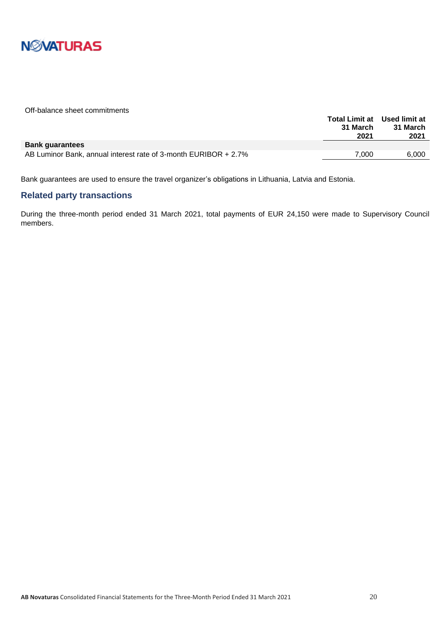

Off-balance sheet commitments

|                                                                 | <b>Total Limit at Used limit at</b> |          |
|-----------------------------------------------------------------|-------------------------------------|----------|
|                                                                 | 31 March                            | 31 March |
|                                                                 | 2021                                | 2021     |
| <b>Bank quarantees</b>                                          |                                     |          |
| AB Luminor Bank, annual interest rate of 3-month EURIBOR + 2.7% | 7.000                               | 6.000    |
|                                                                 |                                     |          |

Bank guarantees are used to ensure the travel organizer's obligations in Lithuania, Latvia and Estonia.

#### <span id="page-19-0"></span>**Related party transactions**

During the three-month period ended 31 March 2021, total payments of EUR 24,150 were made to Supervisory Council members.